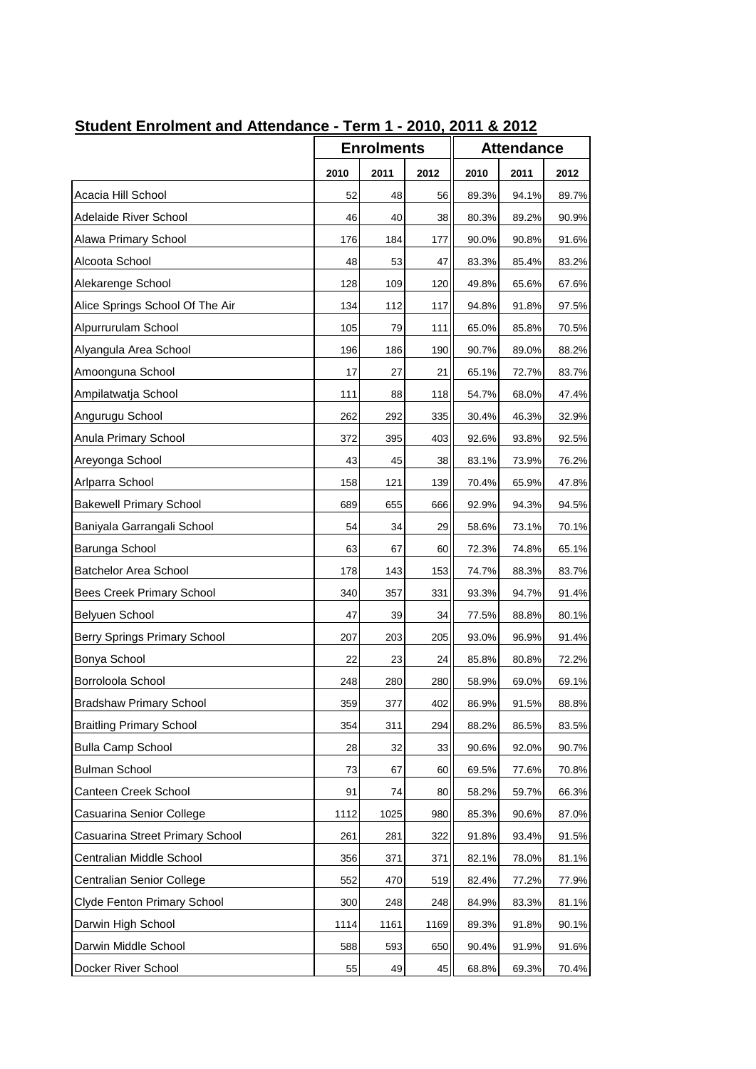| <u> Student Enforment and Attendance - Term T - 2010, 2011 &amp; 2012</u> |      |                   |      |       |                   |       |  |  |
|---------------------------------------------------------------------------|------|-------------------|------|-------|-------------------|-------|--|--|
|                                                                           |      | <b>Enrolments</b> |      |       | <b>Attendance</b> |       |  |  |
|                                                                           | 2010 | 2011              | 2012 | 2010  | 2011              | 2012  |  |  |
| Acacia Hill School                                                        | 52   | 48                | 56   | 89.3% | 94.1%             | 89.7% |  |  |
| Adelaide River School                                                     | 46   | 40                | 38   | 80.3% | 89.2%             | 90.9% |  |  |
| Alawa Primary School                                                      | 176  | 184               | 177  | 90.0% | 90.8%             | 91.6% |  |  |
| Alcoota School                                                            | 48   | 53                | 47   | 83.3% | 85.4%             | 83.2% |  |  |
| Alekarenge School                                                         | 128  | 109               | 120  | 49.8% | 65.6%             | 67.6% |  |  |
| Alice Springs School Of The Air                                           | 134  | 112               | 117  | 94.8% | 91.8%             | 97.5% |  |  |
| Alpurrurulam School                                                       | 105  | 79                | 111  | 65.0% | 85.8%             | 70.5% |  |  |
| Alyangula Area School                                                     | 196  | 186               | 190  | 90.7% | 89.0%             | 88.2% |  |  |
| Amoonguna School                                                          | 17   | 27                | 21   | 65.1% | 72.7%             | 83.7% |  |  |
| Ampilatwatja School                                                       | 111  | 88                | 118  | 54.7% | 68.0%             | 47.4% |  |  |
| Angurugu School                                                           | 262  | 292               | 335  | 30.4% | 46.3%             | 32.9% |  |  |
| Anula Primary School                                                      | 372  | 395               | 403  | 92.6% | 93.8%             | 92.5% |  |  |
| Areyonga School                                                           | 43   | 45                | 38   | 83.1% | 73.9%             | 76.2% |  |  |
| Arlparra School                                                           | 158  | 121               | 139  | 70.4% | 65.9%             | 47.8% |  |  |
| <b>Bakewell Primary School</b>                                            | 689  | 655               | 666  | 92.9% | 94.3%             | 94.5% |  |  |
| Baniyala Garrangali School                                                | 54   | 34                | 29   | 58.6% | 73.1%             | 70.1% |  |  |
| Barunga School                                                            | 63   | 67                | 60   | 72.3% | 74.8%             | 65.1% |  |  |
| <b>Batchelor Area School</b>                                              | 178  | 143               | 153  | 74.7% | 88.3%             | 83.7% |  |  |
| <b>Bees Creek Primary School</b>                                          | 340  | 357               | 331  | 93.3% | 94.7%             | 91.4% |  |  |
| <b>Belyuen School</b>                                                     | 47   | 39                | 34   | 77.5% | 88.8%             | 80.1% |  |  |
| Berry Springs Primary School                                              | 207  | 203               | 205  | 93.0% | 96.9%             | 91.4% |  |  |
| Bonya School                                                              | 22   | 23                | 24   | 85.8% | 80.8%             | 72.2% |  |  |
| Borroloola School                                                         | 248  | 280               | 280  | 58.9% | 69.0%             | 69.1% |  |  |
| <b>Bradshaw Primary School</b>                                            | 359  | 377               | 402  | 86.9% | 91.5%             | 88.8% |  |  |
| <b>Braitling Primary School</b>                                           | 354  | 311               | 294  | 88.2% | 86.5%             | 83.5% |  |  |
| <b>Bulla Camp School</b>                                                  | 28   | 32                | 33   | 90.6% | 92.0%             | 90.7% |  |  |
| <b>Bulman School</b>                                                      | 73   | 67                | 60   | 69.5% | 77.6%             | 70.8% |  |  |
| Canteen Creek School                                                      | 91   | 74                | 80   | 58.2% | 59.7%             | 66.3% |  |  |
| Casuarina Senior College                                                  | 1112 | 1025              | 980  | 85.3% | 90.6%             | 87.0% |  |  |
| Casuarina Street Primary School                                           | 261  | 281               | 322  | 91.8% | 93.4%             | 91.5% |  |  |
| Centralian Middle School                                                  | 356  | 371               | 371  | 82.1% | 78.0%             | 81.1% |  |  |
| <b>Centralian Senior College</b>                                          | 552  | 470               | 519  | 82.4% | 77.2%             | 77.9% |  |  |
| Clyde Fenton Primary School                                               | 300  | 248               | 248  | 84.9% | 83.3%             | 81.1% |  |  |
| Darwin High School                                                        | 1114 | 1161              | 1169 | 89.3% | 91.8%             | 90.1% |  |  |
| Darwin Middle School                                                      | 588  | 593               | 650  | 90.4% | 91.9%             | 91.6% |  |  |
| Docker River School                                                       | 55   | 49                | 45   | 68.8% | 69.3%             | 70.4% |  |  |

## **Student Enrolment and Attendance - Term 1 - 2010, 2011 & 2012**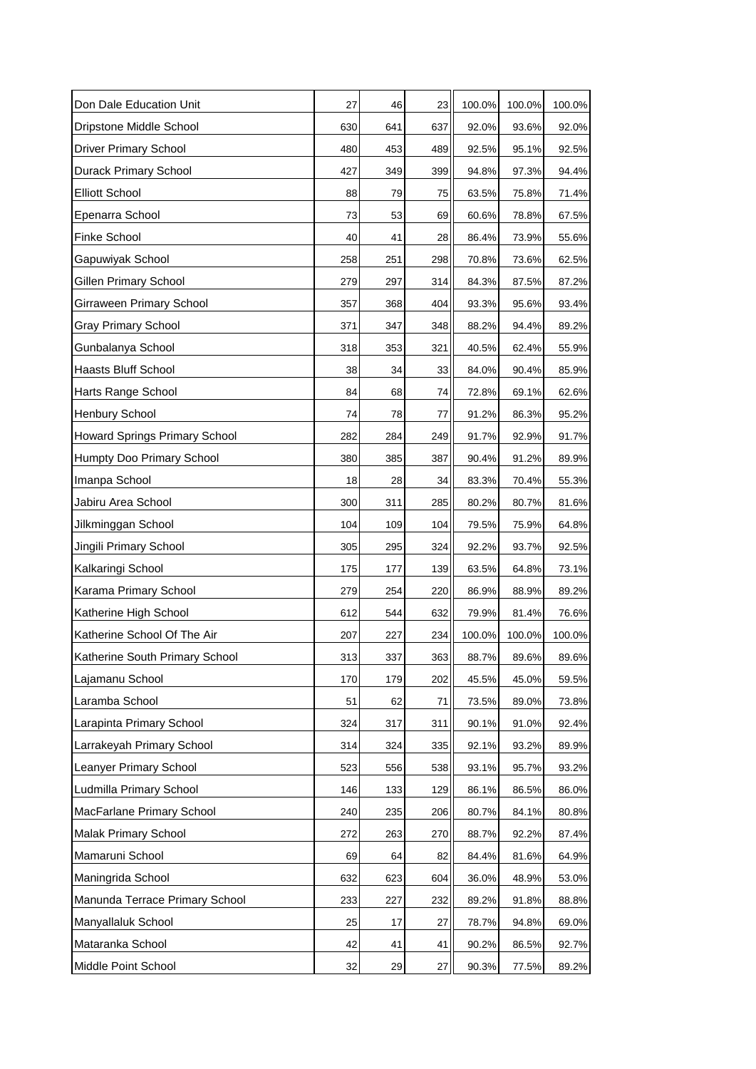| Don Dale Education Unit        | 27  | 46  | 23  | 100.0% | 100.0% | 100.0% |
|--------------------------------|-----|-----|-----|--------|--------|--------|
| Dripstone Middle School        | 630 | 641 | 637 | 92.0%  | 93.6%  | 92.0%  |
| <b>Driver Primary School</b>   | 480 | 453 | 489 | 92.5%  | 95.1%  | 92.5%  |
| Durack Primary School          | 427 | 349 | 399 | 94.8%  | 97.3%  | 94.4%  |
| <b>Elliott School</b>          | 88  | 79  | 75  | 63.5%  | 75.8%  | 71.4%  |
| Epenarra School                | 73  | 53  | 69  | 60.6%  | 78.8%  | 67.5%  |
| Finke School                   | 40  | 41  | 28  | 86.4%  | 73.9%  | 55.6%  |
| Gapuwiyak School               | 258 | 251 | 298 | 70.8%  | 73.6%  | 62.5%  |
| Gillen Primary School          | 279 | 297 | 314 | 84.3%  | 87.5%  | 87.2%  |
| Girraween Primary School       | 357 | 368 | 404 | 93.3%  | 95.6%  | 93.4%  |
| <b>Gray Primary School</b>     | 371 | 347 | 348 | 88.2%  | 94.4%  | 89.2%  |
| Gunbalanya School              | 318 | 353 | 321 | 40.5%  | 62.4%  | 55.9%  |
| <b>Haasts Bluff School</b>     | 38  | 34  | 33  | 84.0%  | 90.4%  | 85.9%  |
| Harts Range School             | 84  | 68  | 74  | 72.8%  | 69.1%  | 62.6%  |
| Henbury School                 | 74  | 78  | 77  | 91.2%  | 86.3%  | 95.2%  |
| Howard Springs Primary School  | 282 | 284 | 249 | 91.7%  | 92.9%  | 91.7%  |
| Humpty Doo Primary School      | 380 | 385 | 387 | 90.4%  | 91.2%  | 89.9%  |
| Imanpa School                  | 18  | 28  | 34  | 83.3%  | 70.4%  | 55.3%  |
| Jabiru Area School             | 300 | 311 | 285 | 80.2%  | 80.7%  | 81.6%  |
| Jilkminggan School             | 104 | 109 | 104 | 79.5%  | 75.9%  | 64.8%  |
| Jingili Primary School         | 305 | 295 | 324 | 92.2%  | 93.7%  | 92.5%  |
| Kalkaringi School              | 175 | 177 | 139 | 63.5%  | 64.8%  | 73.1%  |
| Karama Primary School          | 279 | 254 | 220 | 86.9%  | 88.9%  | 89.2%  |
| Katherine High School          | 612 | 544 | 632 | 79.9%  | 81.4%  | 76.6%  |
| Katherine School Of The Air    | 207 | 227 | 234 | 100.0% | 100.0% | 100.0% |
| Katherine South Primary School | 313 | 337 | 363 | 88.7%  | 89.6%  | 89.6%  |
| Lajamanu School                | 170 | 179 | 202 | 45.5%  | 45.0%  | 59.5%  |
| Laramba School                 | 51  | 62  | 71  | 73.5%  | 89.0%  | 73.8%  |
| Larapinta Primary School       | 324 | 317 | 311 | 90.1%  | 91.0%  | 92.4%  |
| Larrakeyah Primary School      | 314 | 324 | 335 | 92.1%  | 93.2%  | 89.9%  |
| Leanyer Primary School         | 523 | 556 | 538 | 93.1%  | 95.7%  | 93.2%  |
| Ludmilla Primary School        | 146 | 133 | 129 | 86.1%  | 86.5%  | 86.0%  |
| MacFarlane Primary School      | 240 | 235 | 206 | 80.7%  | 84.1%  | 80.8%  |
| Malak Primary School           | 272 | 263 | 270 | 88.7%  | 92.2%  | 87.4%  |
| Mamaruni School                | 69  | 64  | 82  | 84.4%  | 81.6%  | 64.9%  |
| Maningrida School              | 632 | 623 | 604 | 36.0%  | 48.9%  | 53.0%  |
| Manunda Terrace Primary School | 233 | 227 | 232 | 89.2%  | 91.8%  | 88.8%  |
| Manyallaluk School             | 25  | 17  | 27  | 78.7%  | 94.8%  | 69.0%  |
| Mataranka School               | 42  | 41  | 41  | 90.2%  | 86.5%  | 92.7%  |
| Middle Point School            | 32  | 29  | 27  | 90.3%  | 77.5%  | 89.2%  |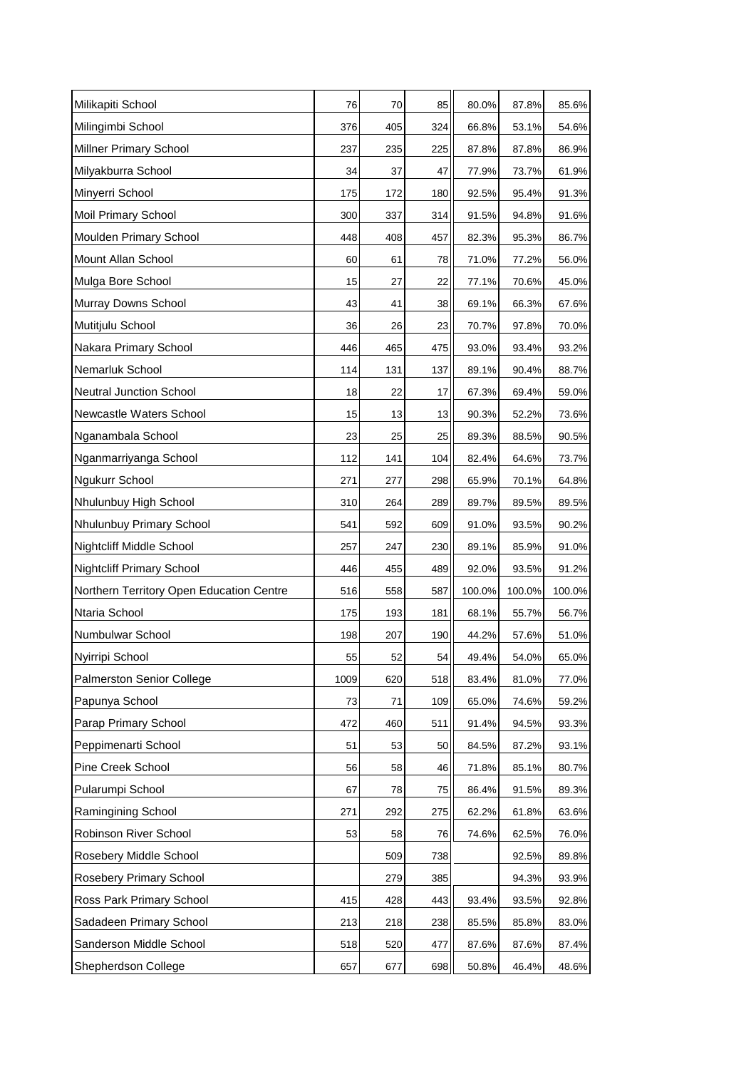| Milikapiti School                        | 76   | 70  | 85  | 80.0%  | 87.8%  | 85.6%  |
|------------------------------------------|------|-----|-----|--------|--------|--------|
| Milingimbi School                        | 376  | 405 | 324 | 66.8%  | 53.1%  | 54.6%  |
| Millner Primary School                   | 237  | 235 | 225 | 87.8%  | 87.8%  | 86.9%  |
| Milyakburra School                       | 34   | 37  | 47  | 77.9%  | 73.7%  | 61.9%  |
| Minyerri School                          | 175  | 172 | 180 | 92.5%  | 95.4%  | 91.3%  |
| Moil Primary School                      | 300  | 337 | 314 | 91.5%  | 94.8%  | 91.6%  |
| Moulden Primary School                   | 448  | 408 | 457 | 82.3%  | 95.3%  | 86.7%  |
| Mount Allan School                       | 60   | 61  | 78  | 71.0%  | 77.2%  | 56.0%  |
| Mulga Bore School                        | 15   | 27  | 22  | 77.1%  | 70.6%  | 45.0%  |
| Murray Downs School                      | 43   | 41  | 38  | 69.1%  | 66.3%  | 67.6%  |
| Mutitjulu School                         | 36   | 26  | 23  | 70.7%  | 97.8%  | 70.0%  |
| Nakara Primary School                    | 446  | 465 | 475 | 93.0%  | 93.4%  | 93.2%  |
| Nemarluk School                          | 114  | 131 | 137 | 89.1%  | 90.4%  | 88.7%  |
| <b>Neutral Junction School</b>           | 18   | 22  | 17  | 67.3%  | 69.4%  | 59.0%  |
| Newcastle Waters School                  | 15   | 13  | 13  | 90.3%  | 52.2%  | 73.6%  |
| Nganambala School                        | 23   | 25  | 25  | 89.3%  | 88.5%  | 90.5%  |
| Nganmarriyanga School                    | 112  | 141 | 104 | 82.4%  | 64.6%  | 73.7%  |
| Ngukurr School                           | 271  | 277 | 298 | 65.9%  | 70.1%  | 64.8%  |
| Nhulunbuy High School                    | 310  | 264 | 289 | 89.7%  | 89.5%  | 89.5%  |
| Nhulunbuy Primary School                 | 541  | 592 | 609 | 91.0%  | 93.5%  | 90.2%  |
| Nightcliff Middle School                 | 257  | 247 | 230 | 89.1%  | 85.9%  | 91.0%  |
| <b>Nightcliff Primary School</b>         | 446  | 455 | 489 | 92.0%  | 93.5%  | 91.2%  |
| Northern Territory Open Education Centre | 516  | 558 | 587 | 100.0% | 100.0% | 100.0% |
| Ntaria School                            | 175  | 193 | 181 | 68.1%  | 55.7%  | 56.7%  |
| Numbulwar School                         | 198  | 207 | 190 | 44.2%  | 57.6%  | 51.0%  |
| Nyirripi School                          | 55   | 52  | 54  | 49.4%  | 54.0%  | 65.0%  |
| <b>Palmerston Senior College</b>         | 1009 | 620 | 518 | 83.4%  | 81.0%  | 77.0%  |
| Papunya School                           | 73   | 71  | 109 | 65.0%  | 74.6%  | 59.2%  |
| Parap Primary School                     | 472  | 460 | 511 | 91.4%  | 94.5%  | 93.3%  |
| Peppimenarti School                      | 51   | 53  | 50  | 84.5%  | 87.2%  | 93.1%  |
| Pine Creek School                        | 56   | 58  | 46  | 71.8%  | 85.1%  | 80.7%  |
| Pularumpi School                         | 67   | 78  | 75  | 86.4%  | 91.5%  | 89.3%  |
| Ramingining School                       | 271  | 292 | 275 | 62.2%  | 61.8%  | 63.6%  |
| Robinson River School                    | 53   | 58  | 76  | 74.6%  | 62.5%  | 76.0%  |
| Rosebery Middle School                   |      | 509 | 738 |        | 92.5%  | 89.8%  |
| Rosebery Primary School                  |      | 279 | 385 |        | 94.3%  | 93.9%  |
| Ross Park Primary School                 | 415  | 428 | 443 | 93.4%  | 93.5%  | 92.8%  |
| Sadadeen Primary School                  | 213  | 218 | 238 | 85.5%  | 85.8%  | 83.0%  |
| Sanderson Middle School                  | 518  | 520 | 477 | 87.6%  | 87.6%  | 87.4%  |
| Shepherdson College                      | 657  | 677 | 698 | 50.8%  | 46.4%  | 48.6%  |